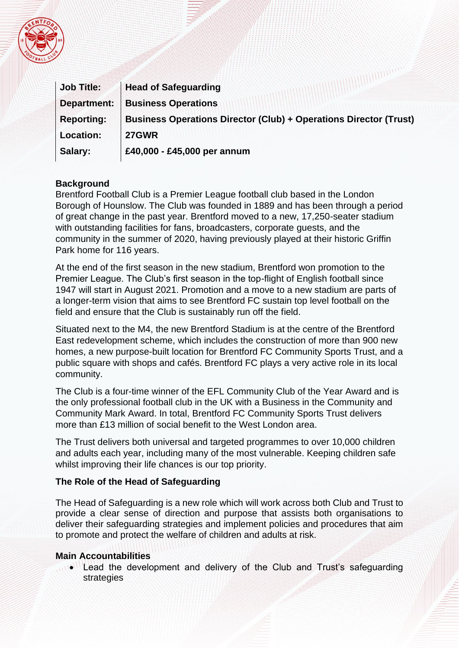

| <b>Job Title:</b> | <b>Head of Safeguarding</b>                                              |
|-------------------|--------------------------------------------------------------------------|
| Department:       | <b>Business Operations</b>                                               |
| <b>Reporting:</b> | <b>Business Operations Director (Club) + Operations Director (Trust)</b> |
| <b>Location:</b>  | <b>27GWR</b>                                                             |
| Salary:           | £40,000 - £45,000 per annum                                              |

### **Background**

Brentford Football Club is a Premier League football club based in the London Borough of Hounslow. The Club was founded in 1889 and has been through a period of great change in the past year. Brentford moved to a new, 17,250-seater stadium with outstanding facilities for fans, broadcasters, corporate guests, and the community in the summer of 2020, having previously played at their historic Griffin Park home for 116 years.

At the end of the first season in the new stadium, Brentford won promotion to the Premier League. The Club's first season in the top-flight of English football since 1947 will start in August 2021. Promotion and a move to a new stadium are parts of a longer-term vision that aims to see Brentford FC sustain top level football on the field and ensure that the Club is sustainably run off the field.

Situated next to the M4, the new Brentford Stadium is at the centre of the Brentford East redevelopment scheme, which includes the construction of more than 900 new homes, a new purpose-built location for Brentford FC Community Sports Trust, and a public square with shops and cafés. Brentford FC plays a very active role in its local community.

The Club is a four-time winner of the EFL Community Club of the Year Award and is the only professional football club in the UK with a Business in the Community and Community Mark Award. In total, Brentford FC Community Sports Trust delivers more than £13 million of social benefit to the West London area.

The Trust delivers both universal and targeted programmes to over 10,000 children and adults each year, including many of the most vulnerable. Keeping children safe whilst improving their life chances is our top priority.

#### **The Role of the Head of Safeguarding**

The Head of Safeguarding is a new role which will work across both Club and Trust to provide a clear sense of direction and purpose that assists both organisations to deliver their safeguarding strategies and implement policies and procedures that aim to promote and protect the welfare of children and adults at risk.

#### **Main Accountabilities**

Lead the development and delivery of the Club and Trust's safeguarding strategies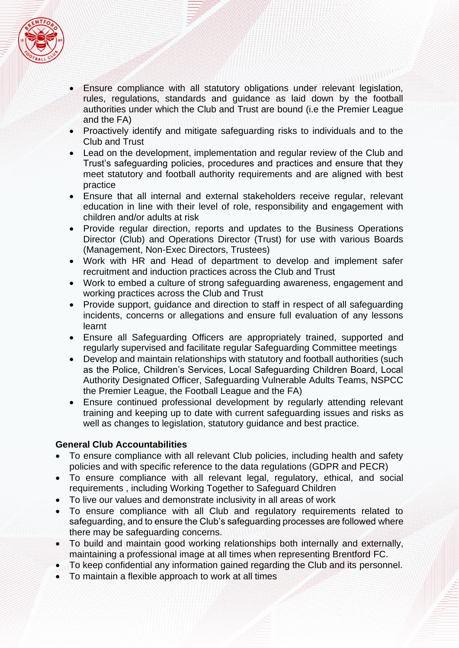

- Ensure compliance with all statutory obligations under relevant legislation, rules, regulations, standards and guidance as laid down by the football authorities under which the Club and Trust are bound (i.e the Premier League and the FA)
- Proactively identify and mitigate safeguarding risks to individuals and to the Club and Trust
- Lead on the development, implementation and regular review of the Club and Trust's safeguarding policies, procedures and practices and ensure that they meet statutory and football authority requirements and are aligned with best practice
- Ensure that all internal and external stakeholders receive regular, relevant education in line with their level of role, responsibility and engagement with children and/or adults at risk
- Provide regular direction, reports and updates to the Business Operations Director (Club) and Operations Director (Trust) for use with various Boards (Management, Non-Exec Directors, Trustees)
- Work with HR and Head of department to develop and implement safer recruitment and induction practices across the Club and Trust
- Work to embed a culture of strong safeguarding awareness, engagement and working practices across the Club and Trust
- Provide support, guidance and direction to staff in respect of all safeguarding incidents, concerns or allegations and ensure full evaluation of any lessons learnt
- Ensure all Safeguarding Officers are appropriately trained, supported and regularly supervised and facilitate regular Safeguarding Committee meetings
- Develop and maintain relationships with statutory and football authorities (such as the Police, Children's Services, Local Safeguarding Children Board, Local Authority Designated Officer, Safeguarding Vulnerable Adults Teams, NSPCC the Premier League, the Football League and the FA)
- Ensure continued professional development by regularly attending relevant training and keeping up to date with current safeguarding issues and risks as well as changes to legislation, statutory guidance and best practice.

# **General Club Accountabilities**

- To ensure compliance with all relevant Club policies, including health and safety policies and with specific reference to the data regulations (GDPR and PECR)
- To ensure compliance with all relevant legal, regulatory, ethical, and social requirements , including Working Together to Safeguard Children
- To live our values and demonstrate inclusivity in all areas of work
- To ensure compliance with all Club and regulatory requirements related to safeguarding, and to ensure the Club's safeguarding processes are followed where there may be safeguarding concerns.
- To build and maintain good working relationships both internally and externally, maintaining a professional image at all times when representing Brentford FC.
- To keep confidential any information gained regarding the Club and its personnel.
- To maintain a flexible approach to work at all times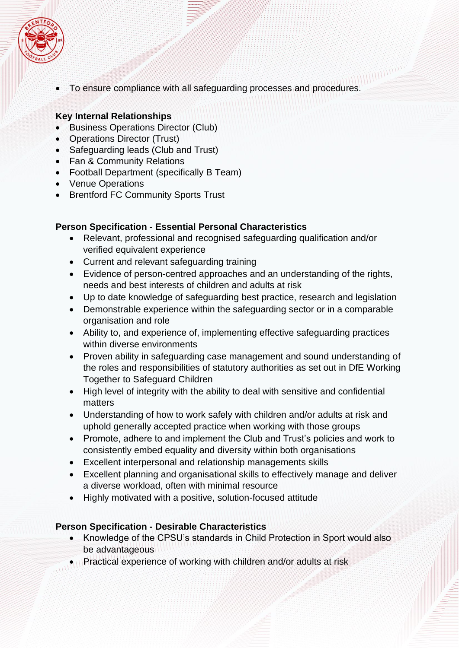

• To ensure compliance with all safeguarding processes and procedures.

## **Key Internal Relationships**

- Business Operations Director (Club)
- Operations Director (Trust)
- Safeguarding leads (Club and Trust)
- Fan & Community Relations
- Football Department (specifically B Team)
- Venue Operations
- Brentford FC Community Sports Trust

### **Person Specification - Essential Personal Characteristics**

- Relevant, professional and recognised safeguarding qualification and/or verified equivalent experience
- Current and relevant safeguarding training
- Evidence of person-centred approaches and an understanding of the rights, needs and best interests of children and adults at risk
- Up to date knowledge of safeguarding best practice, research and legislation
- Demonstrable experience within the safeguarding sector or in a comparable organisation and role
- Ability to, and experience of, implementing effective safeguarding practices within diverse environments
- Proven ability in safeguarding case management and sound understanding of the roles and responsibilities of statutory authorities as set out in DfE Working Together to Safeguard Children
- High level of integrity with the ability to deal with sensitive and confidential matters
- Understanding of how to work safely with children and/or adults at risk and uphold generally accepted practice when working with those groups
- Promote, adhere to and implement the Club and Trust's policies and work to consistently embed equality and diversity within both organisations
- Excellent interpersonal and relationship managements skills
- Excellent planning and organisational skills to effectively manage and deliver a diverse workload, often with minimal resource
- Highly motivated with a positive, solution-focused attitude

# **Person Specification - Desirable Characteristics**

- Knowledge of the CPSU's standards in Child Protection in Sport would also be advantageous
- Practical experience of working with children and/or adults at risk